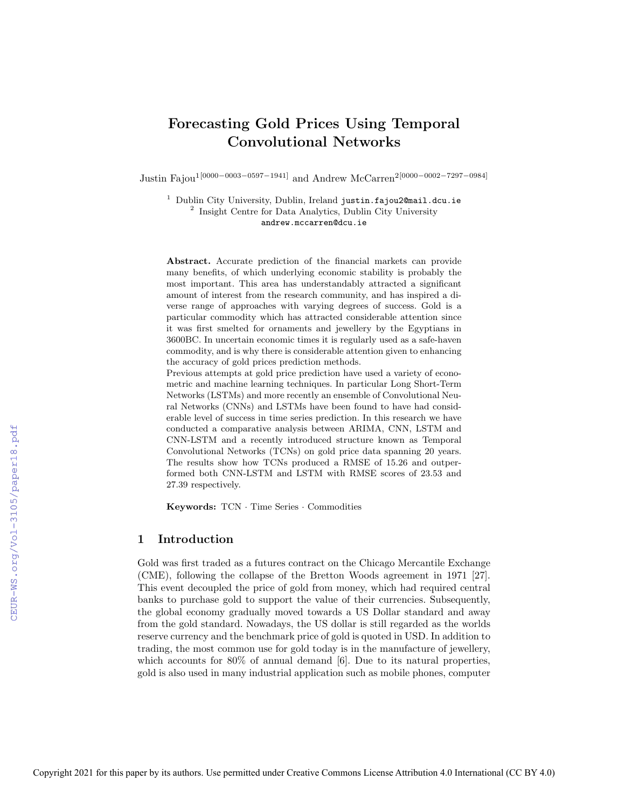# Forecasting Gold Prices Using Temporal Convolutional Networks

Justin Fajou1[0000−0003−0597−1941] and Andrew McCarren2[0000−0002−7297−0984]

<sup>1</sup> Dublin City University, Dublin, Ireland justin.fajou2@mail.dcu.ie <sup>2</sup> Insight Centre for Data Analytics, Dublin City University andrew.mccarren@dcu.ie

Abstract. Accurate prediction of the financial markets can provide many benefits, of which underlying economic stability is probably the most important. This area has understandably attracted a significant amount of interest from the research community, and has inspired a diverse range of approaches with varying degrees of success. Gold is a particular commodity which has attracted considerable attention since it was first smelted for ornaments and jewellery by the Egyptians in 3600BC. In uncertain economic times it is regularly used as a safe-haven commodity, and is why there is considerable attention given to enhancing the accuracy of gold prices prediction methods.

Previous attempts at gold price prediction have used a variety of econometric and machine learning techniques. In particular Long Short-Term Networks (LSTMs) and more recently an ensemble of Convolutional Neural Networks (CNNs) and LSTMs have been found to have had considerable level of success in time series prediction. In this research we have conducted a comparative analysis between ARIMA, CNN, LSTM and CNN-LSTM and a recently introduced structure known as Temporal Convolutional Networks (TCNs) on gold price data spanning 20 years. The results show how TCNs produced a RMSE of 15.26 and outperformed both CNN-LSTM and LSTM with RMSE scores of 23.53 and 27.39 respectively.

Keywords: TCN · Time Series · Commodities

# 1 Introduction

Gold was first traded as a futures contract on the Chicago Mercantile Exchange (CME), following the collapse of the Bretton Woods agreement in 1971 [27]. This event decoupled the price of gold from money, which had required central banks to purchase gold to support the value of their currencies. Subsequently, the global economy gradually moved towards a US Dollar standard and away from the gold standard. Nowadays, the US dollar is still regarded as the worlds reserve currency and the benchmark price of gold is quoted in USD. In addition to trading, the most common use for gold today is in the manufacture of jewellery, which accounts for 80% of annual demand [6]. Due to its natural properties, gold is also used in many industrial application such as mobile phones, computer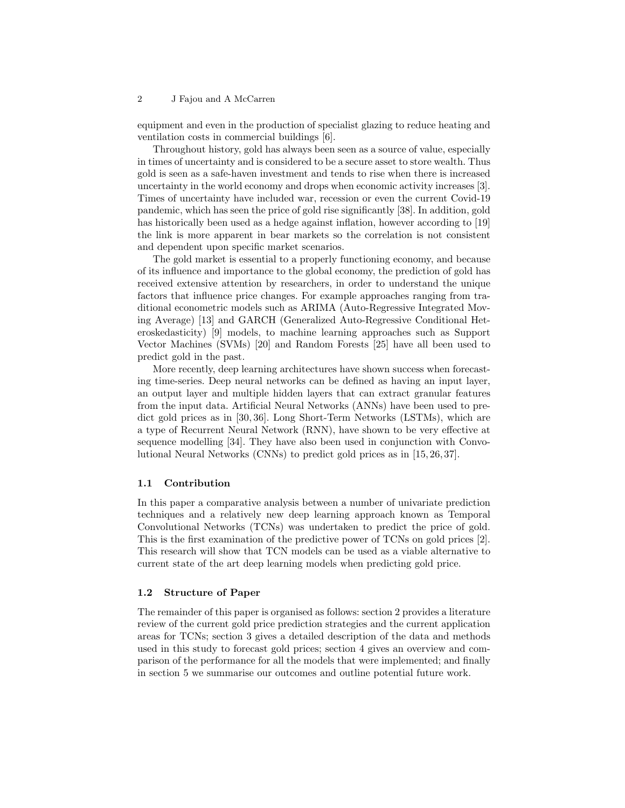equipment and even in the production of specialist glazing to reduce heating and ventilation costs in commercial buildings [6].

Throughout history, gold has always been seen as a source of value, especially in times of uncertainty and is considered to be a secure asset to store wealth. Thus gold is seen as a safe-haven investment and tends to rise when there is increased uncertainty in the world economy and drops when economic activity increases [3]. Times of uncertainty have included war, recession or even the current Covid-19 pandemic, which has seen the price of gold rise significantly [38]. In addition, gold has historically been used as a hedge against inflation, however according to [19] the link is more apparent in bear markets so the correlation is not consistent and dependent upon specific market scenarios.

The gold market is essential to a properly functioning economy, and because of its influence and importance to the global economy, the prediction of gold has received extensive attention by researchers, in order to understand the unique factors that influence price changes. For example approaches ranging from traditional econometric models such as ARIMA (Auto-Regressive Integrated Moving Average) [13] and GARCH (Generalized Auto-Regressive Conditional Heteroskedasticity) [9] models, to machine learning approaches such as Support Vector Machines (SVMs) [20] and Random Forests [25] have all been used to predict gold in the past.

More recently, deep learning architectures have shown success when forecasting time-series. Deep neural networks can be defined as having an input layer, an output layer and multiple hidden layers that can extract granular features from the input data. Artificial Neural Networks (ANNs) have been used to predict gold prices as in [30, 36]. Long Short-Term Networks (LSTMs), which are a type of Recurrent Neural Network (RNN), have shown to be very effective at sequence modelling [34]. They have also been used in conjunction with Convolutional Neural Networks (CNNs) to predict gold prices as in [15, 26, 37].

### 1.1 Contribution

In this paper a comparative analysis between a number of univariate prediction techniques and a relatively new deep learning approach known as Temporal Convolutional Networks (TCNs) was undertaken to predict the price of gold. This is the first examination of the predictive power of TCNs on gold prices [2]. This research will show that TCN models can be used as a viable alternative to current state of the art deep learning models when predicting gold price.

## 1.2 Structure of Paper

The remainder of this paper is organised as follows: section 2 provides a literature review of the current gold price prediction strategies and the current application areas for TCNs; section 3 gives a detailed description of the data and methods used in this study to forecast gold prices; section 4 gives an overview and comparison of the performance for all the models that were implemented; and finally in section 5 we summarise our outcomes and outline potential future work.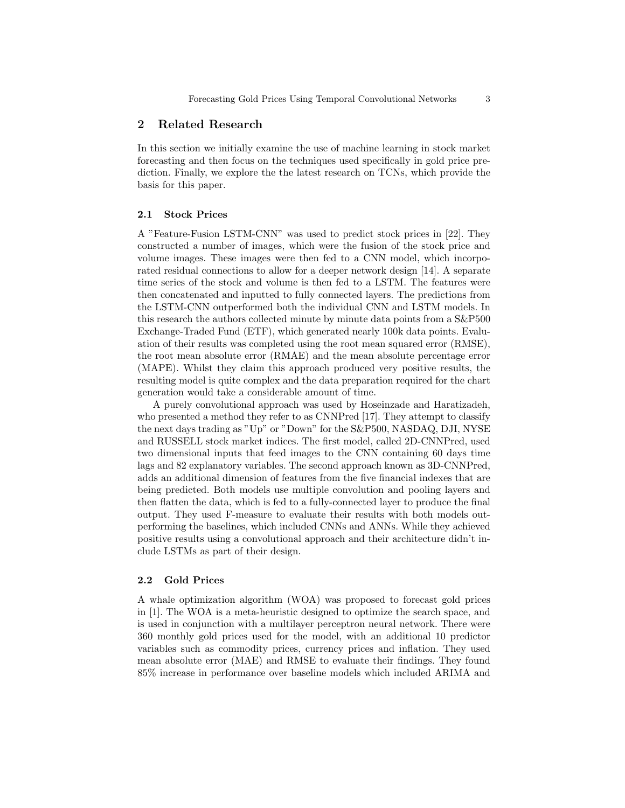# 2 Related Research

In this section we initially examine the use of machine learning in stock market forecasting and then focus on the techniques used specifically in gold price prediction. Finally, we explore the the latest research on TCNs, which provide the basis for this paper.

### 2.1 Stock Prices

A "Feature-Fusion LSTM-CNN" was used to predict stock prices in [22]. They constructed a number of images, which were the fusion of the stock price and volume images. These images were then fed to a CNN model, which incorporated residual connections to allow for a deeper network design [14]. A separate time series of the stock and volume is then fed to a LSTM. The features were then concatenated and inputted to fully connected layers. The predictions from the LSTM-CNN outperformed both the individual CNN and LSTM models. In this research the authors collected minute by minute data points from a S&P500 Exchange-Traded Fund (ETF), which generated nearly 100k data points. Evaluation of their results was completed using the root mean squared error (RMSE), the root mean absolute error (RMAE) and the mean absolute percentage error (MAPE). Whilst they claim this approach produced very positive results, the resulting model is quite complex and the data preparation required for the chart generation would take a considerable amount of time.

A purely convolutional approach was used by Hoseinzade and Haratizadeh, who presented a method they refer to as CNNPred [17]. They attempt to classify the next days trading as "Up" or "Down" for the S&P500, NASDAQ, DJI, NYSE and RUSSELL stock market indices. The first model, called 2D-CNNPred, used two dimensional inputs that feed images to the CNN containing 60 days time lags and 82 explanatory variables. The second approach known as 3D-CNNPred, adds an additional dimension of features from the five financial indexes that are being predicted. Both models use multiple convolution and pooling layers and then flatten the data, which is fed to a fully-connected layer to produce the final output. They used F-measure to evaluate their results with both models outperforming the baselines, which included CNNs and ANNs. While they achieved positive results using a convolutional approach and their architecture didn't include LSTMs as part of their design.

#### 2.2 Gold Prices

A whale optimization algorithm (WOA) was proposed to forecast gold prices in [1]. The WOA is a meta-heuristic designed to optimize the search space, and is used in conjunction with a multilayer perceptron neural network. There were 360 monthly gold prices used for the model, with an additional 10 predictor variables such as commodity prices, currency prices and inflation. They used mean absolute error (MAE) and RMSE to evaluate their findings. They found 85% increase in performance over baseline models which included ARIMA and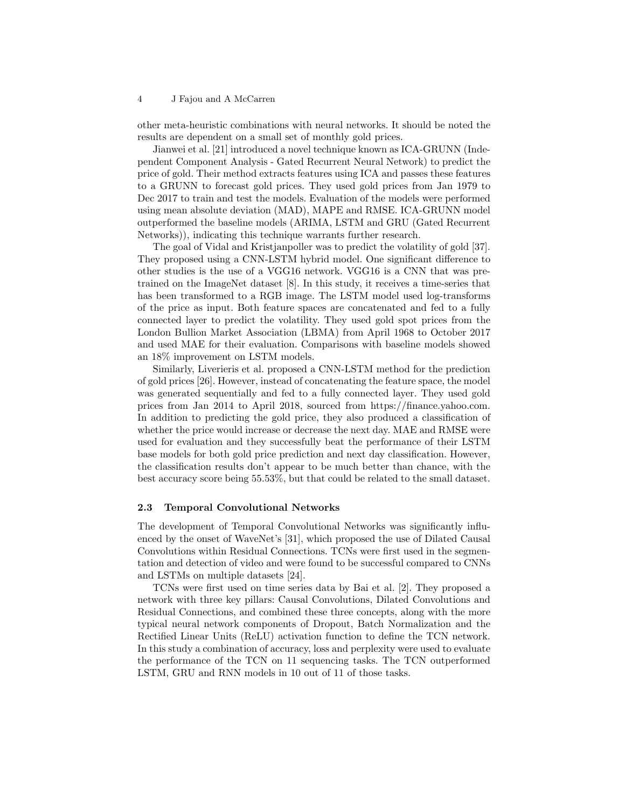other meta-heuristic combinations with neural networks. It should be noted the results are dependent on a small set of monthly gold prices.

Jianwei et al. [21] introduced a novel technique known as ICA-GRUNN (Independent Component Analysis - Gated Recurrent Neural Network) to predict the price of gold. Their method extracts features using ICA and passes these features to a GRUNN to forecast gold prices. They used gold prices from Jan 1979 to Dec 2017 to train and test the models. Evaluation of the models were performed using mean absolute deviation (MAD), MAPE and RMSE. ICA-GRUNN model outperformed the baseline models (ARIMA, LSTM and GRU (Gated Recurrent Networks)), indicating this technique warrants further research.

The goal of Vidal and Kristjanpoller was to predict the volatility of gold [37]. They proposed using a CNN-LSTM hybrid model. One significant difference to other studies is the use of a VGG16 network. VGG16 is a CNN that was pretrained on the ImageNet dataset [8]. In this study, it receives a time-series that has been transformed to a RGB image. The LSTM model used log-transforms of the price as input. Both feature spaces are concatenated and fed to a fully connected layer to predict the volatility. They used gold spot prices from the London Bullion Market Association (LBMA) from April 1968 to October 2017 and used MAE for their evaluation. Comparisons with baseline models showed an 18% improvement on LSTM models.

Similarly, Liverieris et al. proposed a CNN-LSTM method for the prediction of gold prices [26]. However, instead of concatenating the feature space, the model was generated sequentially and fed to a fully connected layer. They used gold prices from Jan 2014 to April 2018, sourced from https://finance.yahoo.com. In addition to predicting the gold price, they also produced a classification of whether the price would increase or decrease the next day. MAE and RMSE were used for evaluation and they successfully beat the performance of their LSTM base models for both gold price prediction and next day classification. However, the classification results don't appear to be much better than chance, with the best accuracy score being 55.53%, but that could be related to the small dataset.

### 2.3 Temporal Convolutional Networks

The development of Temporal Convolutional Networks was significantly influenced by the onset of WaveNet's [31], which proposed the use of Dilated Causal Convolutions within Residual Connections. TCNs were first used in the segmentation and detection of video and were found to be successful compared to CNNs and LSTMs on multiple datasets [24].

TCNs were first used on time series data by Bai et al. [2]. They proposed a network with three key pillars: Causal Convolutions, Dilated Convolutions and Residual Connections, and combined these three concepts, along with the more typical neural network components of Dropout, Batch Normalization and the Rectified Linear Units (ReLU) activation function to define the TCN network. In this study a combination of accuracy, loss and perplexity were used to evaluate the performance of the TCN on 11 sequencing tasks. The TCN outperformed LSTM, GRU and RNN models in 10 out of 11 of those tasks.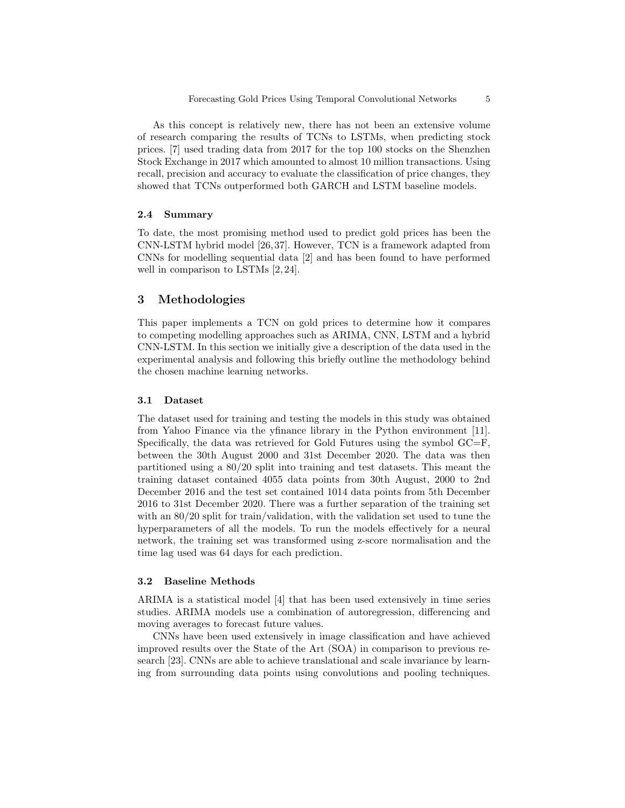As this concept is relatively new, there has not been an extensive volume of research comparing the results of TCNs to LSTMs, when predicting stock prices. [7] used trading data from 2017 for the top 100 stocks on the Shenzhen Stock Exchange in 2017 which amounted to almost 10 million transactions. Using recall, precision and accuracy to evaluate the classification of price changes, they showed that TCNs outperformed both GARCH and LSTM baseline models.

### 2.4 Summary

To date, the most promising method used to predict gold prices has been the CNN-LSTM hybrid model [26, 37]. However, TCN is a framework adapted from CNNs for modelling sequential data [2] and has been found to have performed well in comparison to LSTMs [2, 24].

# 3 Methodologies

This paper implements a TCN on gold prices to determine how it compares to competing modelling approaches such as ARIMA, CNN, LSTM and a hybrid CNN-LSTM. In this section we initially give a description of the data used in the experimental analysis and following this briefly outline the methodology behind the chosen machine learning networks.

## 3.1 Dataset

The dataset used for training and testing the models in this study was obtained from Yahoo Finance via the yfinance library in the Python environment [11]. Specifically, the data was retrieved for Gold Futures using the symbol  $GC=F$ , between the 30th August 2000 and 31st December 2020. The data was then partitioned using a 80/20 split into training and test datasets. This meant the training dataset contained 4055 data points from 30th August, 2000 to 2nd December 2016 and the test set contained 1014 data points from 5th December 2016 to 31st December 2020. There was a further separation of the training set with an 80/20 split for train/validation, with the validation set used to tune the hyperparameters of all the models. To run the models effectively for a neural network, the training set was transformed using z-score normalisation and the time lag used was 64 days for each prediction.

#### 3.2 Baseline Methods

ARIMA is a statistical model [4] that has been used extensively in time series studies. ARIMA models use a combination of autoregression, differencing and moving averages to forecast future values.

CNNs have been used extensively in image classification and have achieved improved results over the State of the Art (SOA) in comparison to previous research [23]. CNNs are able to achieve translational and scale invariance by learning from surrounding data points using convolutions and pooling techniques.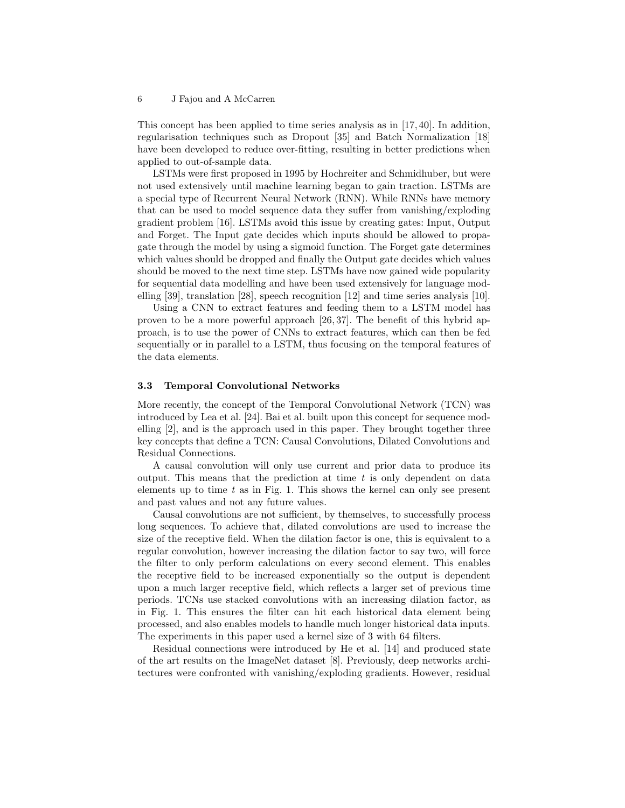This concept has been applied to time series analysis as in [17, 40]. In addition, regularisation techniques such as Dropout [35] and Batch Normalization [18] have been developed to reduce over-fitting, resulting in better predictions when applied to out-of-sample data.

LSTMs were first proposed in 1995 by Hochreiter and Schmidhuber, but were not used extensively until machine learning began to gain traction. LSTMs are a special type of Recurrent Neural Network (RNN). While RNNs have memory that can be used to model sequence data they suffer from vanishing/exploding gradient problem [16]. LSTMs avoid this issue by creating gates: Input, Output and Forget. The Input gate decides which inputs should be allowed to propagate through the model by using a sigmoid function. The Forget gate determines which values should be dropped and finally the Output gate decides which values should be moved to the next time step. LSTMs have now gained wide popularity for sequential data modelling and have been used extensively for language modelling [39], translation [28], speech recognition [12] and time series analysis [10].

Using a CNN to extract features and feeding them to a LSTM model has proven to be a more powerful approach [26, 37]. The benefit of this hybrid approach, is to use the power of CNNs to extract features, which can then be fed sequentially or in parallel to a LSTM, thus focusing on the temporal features of the data elements.

### 3.3 Temporal Convolutional Networks

More recently, the concept of the Temporal Convolutional Network (TCN) was introduced by Lea et al. [24]. Bai et al. built upon this concept for sequence modelling [2], and is the approach used in this paper. They brought together three key concepts that define a TCN: Causal Convolutions, Dilated Convolutions and Residual Connections.

A causal convolution will only use current and prior data to produce its output. This means that the prediction at time  $t$  is only dependent on data elements up to time  $t$  as in Fig. 1. This shows the kernel can only see present and past values and not any future values.

Causal convolutions are not sufficient, by themselves, to successfully process long sequences. To achieve that, dilated convolutions are used to increase the size of the receptive field. When the dilation factor is one, this is equivalent to a regular convolution, however increasing the dilation factor to say two, will force the filter to only perform calculations on every second element. This enables the receptive field to be increased exponentially so the output is dependent upon a much larger receptive field, which reflects a larger set of previous time periods. TCNs use stacked convolutions with an increasing dilation factor, as in Fig. 1. This ensures the filter can hit each historical data element being processed, and also enables models to handle much longer historical data inputs. The experiments in this paper used a kernel size of 3 with 64 filters.

Residual connections were introduced by He et al. [14] and produced state of the art results on the ImageNet dataset [8]. Previously, deep networks architectures were confronted with vanishing/exploding gradients. However, residual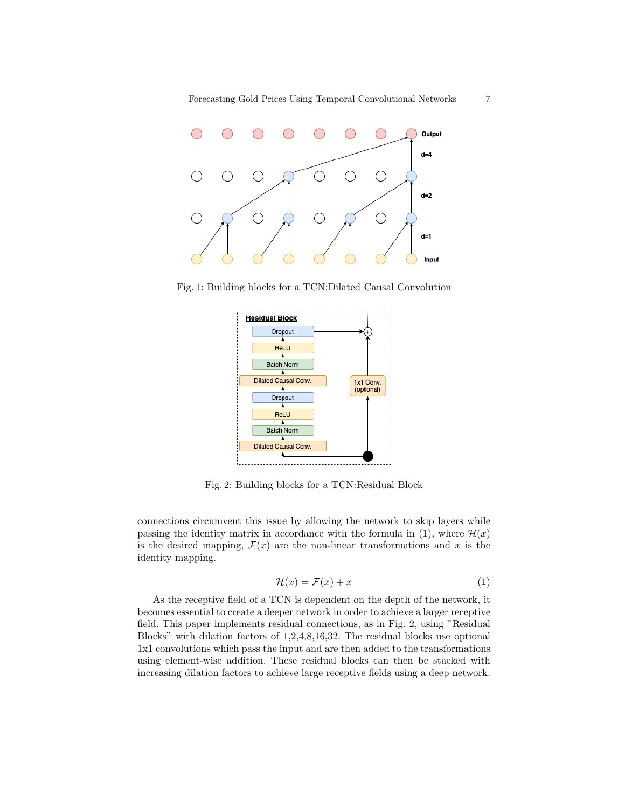

Fig. 1: Building blocks for a TCN:Dilated Causal Convolution



Fig. 2: Building blocks for a TCN:Residual Block

connections circumvent this issue by allowing the network to skip layers while passing the identity matrix in accordance with the formula in (1), where  $\mathcal{H}(x)$ is the desired mapping,  $\mathcal{F}(x)$  are the non-linear transformations and x is the identity mapping.

$$
\mathcal{H}(x) = \mathcal{F}(x) + x \tag{1}
$$

As the receptive field of a TCN is dependent on the depth of the network, it becomes essential to create a deeper network in order to achieve a larger receptive field. This paper implements residual connections, as in Fig. 2, using "Residual Blocks" with dilation factors of 1,2,4,8,16,32. The residual blocks use optional 1x1 convolutions which pass the input and are then added to the transformations using element-wise addition. These residual blocks can then be stacked with increasing dilation factors to achieve large receptive fields using a deep network.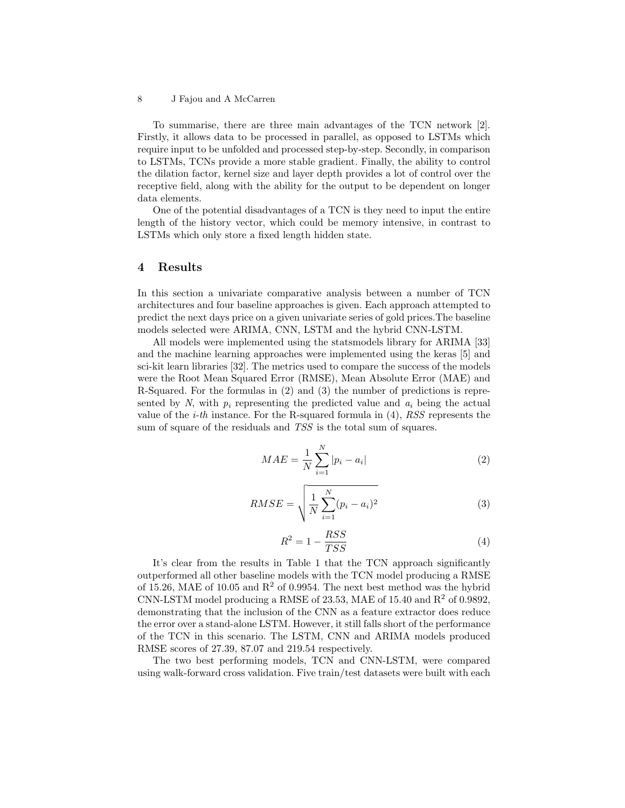To summarise, there are three main advantages of the TCN network [2]. Firstly, it allows data to be processed in parallel, as opposed to LSTMs which require input to be unfolded and processed step-by-step. Secondly, in comparison to LSTMs, TCNs provide a more stable gradient. Finally, the ability to control the dilation factor, kernel size and layer depth provides a lot of control over the receptive field, along with the ability for the output to be dependent on longer data elements.

One of the potential disadvantages of a TCN is they need to input the entire length of the history vector, which could be memory intensive, in contrast to LSTMs which only store a fixed length hidden state.

# 4 Results

In this section a univariate comparative analysis between a number of TCN architectures and four baseline approaches is given. Each approach attempted to predict the next days price on a given univariate series of gold prices.The baseline models selected were ARIMA, CNN, LSTM and the hybrid CNN-LSTM.

All models were implemented using the statsmodels library for ARIMA [33] and the machine learning approaches were implemented using the keras [5] and sci-kit learn libraries [32]. The metrics used to compare the success of the models were the Root Mean Squared Error (RMSE), Mean Absolute Error (MAE) and R-Squared. For the formulas in (2) and (3) the number of predictions is represented by N, with  $p_i$  representing the predicted value and  $a_i$  being the actual value of the *i-th* instance. For the R-squared formula in  $(4)$ , RSS represents the sum of square of the residuals and TSS is the total sum of squares.

$$
MAE = \frac{1}{N} \sum_{i=1}^{N} |p_i - a_i|
$$
 (2)

$$
RMSE = \sqrt{\frac{1}{N} \sum_{i=1}^{N} (p_i - a_i)^2}
$$
 (3)

$$
R^2 = 1 - \frac{RSS}{TSS} \tag{4}
$$

It's clear from the results in Table 1 that the TCN approach significantly outperformed all other baseline models with the TCN model producing a RMSE of 15.26, MAE of 10.05 and  $R^2$  of 0.9954. The next best method was the hybrid CNN-LSTM model producing a RMSE of 23.53, MAE of 15.40 and  $R^2$  of 0.9892, demonstrating that the inclusion of the CNN as a feature extractor does reduce the error over a stand-alone LSTM. However, it still falls short of the performance of the TCN in this scenario. The LSTM, CNN and ARIMA models produced RMSE scores of 27.39, 87.07 and 219.54 respectively.

The two best performing models, TCN and CNN-LSTM, were compared using walk-forward cross validation. Five train/test datasets were built with each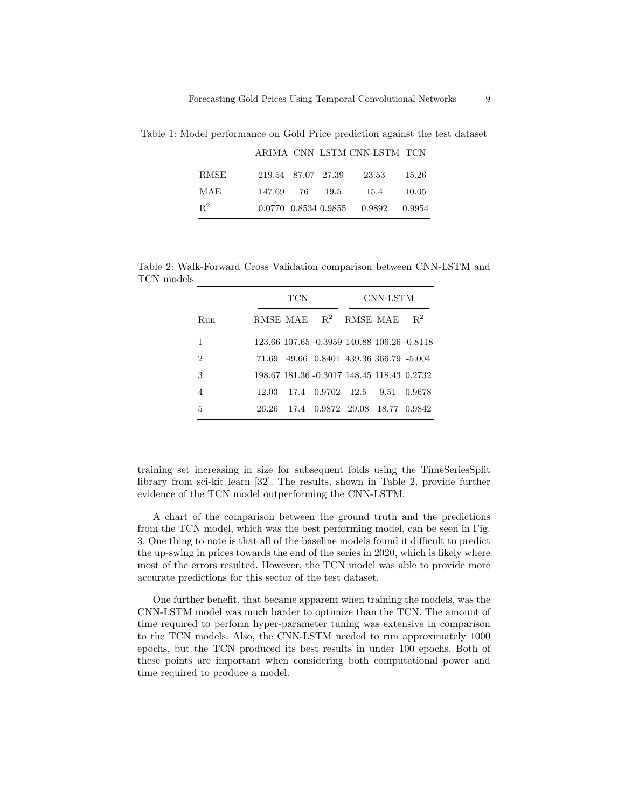|       |                      |  | ARIMA CNN LSTM CNN-LSTM TCN |        |
|-------|----------------------|--|-----------------------------|--------|
| RMSE  | 219.54 87.07 27.39   |  | 23.53                       | 15.26  |
| MAE   | 147.69 76 19.5       |  | 15.4                        | 10.05  |
| $R^2$ | 0.0770 0.8534 0.9855 |  | 0.9892                      | 0.9954 |

Table 1: Model performance on Gold Price prediction against the test dataset

Table 2: Walk-Forward Cross Validation comparison between CNN-LSTM and TCN models

|     | TCN   |  |                                             | CNN-LSTM        |  |        |
|-----|-------|--|---------------------------------------------|-----------------|--|--------|
| Run |       |  | RMSE MAE $R^2$                              | <b>RMSE MAE</b> |  | $R^2$  |
| 1   |       |  | 123.66 107.65 -0.3959 140.88 106.26 -0.8118 |                 |  |        |
| 2   | 71.69 |  | 49.66 0.8401 439.36 366.79 -5.004           |                 |  |        |
| 3   |       |  | 198.67 181.36 -0.3017 148.45 118.43 0.2732  |                 |  |        |
| 4   | 12.03 |  | 17.4 0.9702 12.5 9.51                       |                 |  | 0.9678 |
| 5   | 26.26 |  | 17.4 0.9872 29.08 18.77 0.9842              |                 |  |        |

training set increasing in size for subsequent folds using the TimeSeriesSplit library from sci-kit learn [32]. The results, shown in Table 2, provide further evidence of the TCN model outperforming the CNN-LSTM.

A chart of the comparison between the ground truth and the predictions from the TCN model, which was the best performing model, can be seen in Fig. 3. One thing to note is that all of the baseline models found it difficult to predict the up-swing in prices towards the end of the series in 2020, which is likely where most of the errors resulted. However, the TCN model was able to provide more accurate predictions for this sector of the test dataset.

One further benefit, that became apparent when training the models, was the CNN-LSTM model was much harder to optimize than the TCN. The amount of time required to perform hyper-parameter tuning was extensive in comparison to the TCN models. Also, the CNN-LSTM needed to run approximately 1000 epochs, but the TCN produced its best results in under 100 epochs. Both of these points are important when considering both computational power and time required to produce a model.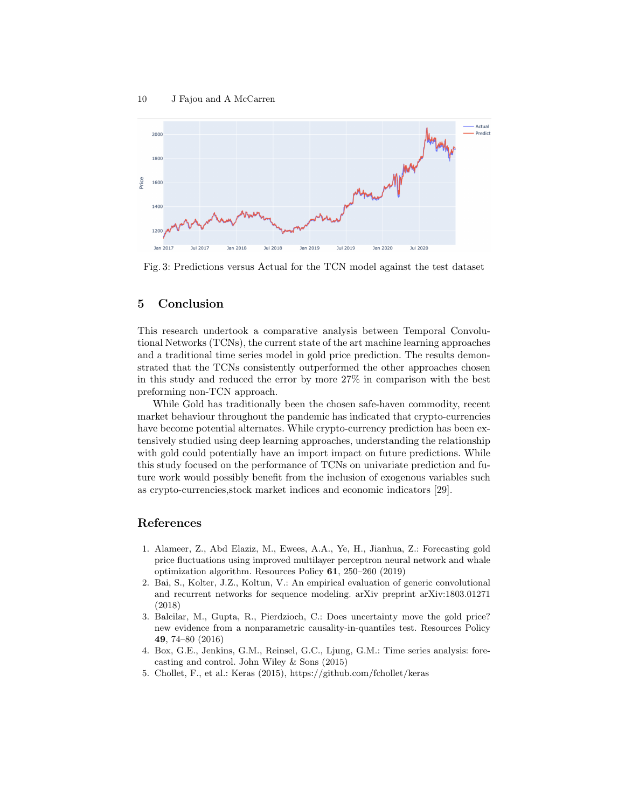

Fig. 3: Predictions versus Actual for the TCN model against the test dataset

# 5 Conclusion

This research undertook a comparative analysis between Temporal Convolutional Networks (TCNs), the current state of the art machine learning approaches and a traditional time series model in gold price prediction. The results demonstrated that the TCNs consistently outperformed the other approaches chosen in this study and reduced the error by more 27% in comparison with the best preforming non-TCN approach.

While Gold has traditionally been the chosen safe-haven commodity, recent market behaviour throughout the pandemic has indicated that crypto-currencies have become potential alternates. While crypto-currency prediction has been extensively studied using deep learning approaches, understanding the relationship with gold could potentially have an import impact on future predictions. While this study focused on the performance of TCNs on univariate prediction and future work would possibly benefit from the inclusion of exogenous variables such as crypto-currencies,stock market indices and economic indicators [29].

# References

- 1. Alameer, Z., Abd Elaziz, M., Ewees, A.A., Ye, H., Jianhua, Z.: Forecasting gold price fluctuations using improved multilayer perceptron neural network and whale optimization algorithm. Resources Policy 61, 250–260 (2019)
- 2. Bai, S., Kolter, J.Z., Koltun, V.: An empirical evaluation of generic convolutional and recurrent networks for sequence modeling. arXiv preprint arXiv:1803.01271 (2018)
- 3. Balcilar, M., Gupta, R., Pierdzioch, C.: Does uncertainty move the gold price? new evidence from a nonparametric causality-in-quantiles test. Resources Policy 49, 74–80 (2016)
- 4. Box, G.E., Jenkins, G.M., Reinsel, G.C., Ljung, G.M.: Time series analysis: forecasting and control. John Wiley & Sons (2015)
- 5. Chollet, F., et al.: Keras (2015), https://github.com/fchollet/keras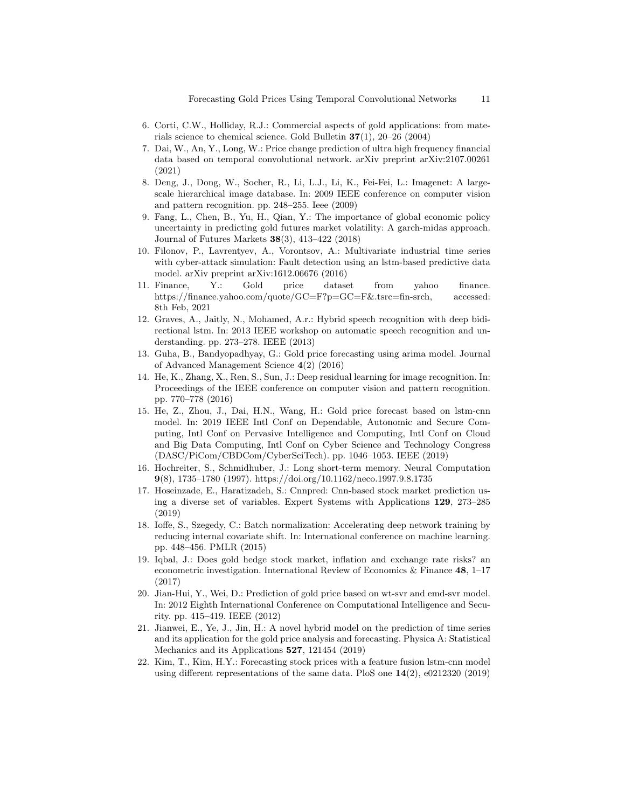- 6. Corti, C.W., Holliday, R.J.: Commercial aspects of gold applications: from materials science to chemical science. Gold Bulletin 37(1), 20–26 (2004)
- 7. Dai, W., An, Y., Long, W.: Price change prediction of ultra high frequency financial data based on temporal convolutional network. arXiv preprint arXiv:2107.00261 (2021)
- 8. Deng, J., Dong, W., Socher, R., Li, L.J., Li, K., Fei-Fei, L.: Imagenet: A largescale hierarchical image database. In: 2009 IEEE conference on computer vision and pattern recognition. pp. 248–255. Ieee (2009)
- 9. Fang, L., Chen, B., Yu, H., Qian, Y.: The importance of global economic policy uncertainty in predicting gold futures market volatility: A garch-midas approach. Journal of Futures Markets 38(3), 413–422 (2018)
- 10. Filonov, P., Lavrentyev, A., Vorontsov, A.: Multivariate industrial time series with cyber-attack simulation: Fault detection using an lstm-based predictive data model. arXiv preprint arXiv:1612.06676 (2016)
- 11. Finance, Y.: Gold price dataset from yahoo finance. https://finance.yahoo.com/quote/GC=F?p=GC=F&.tsrc=fin-srch, accessed: 8th Feb, 2021
- 12. Graves, A., Jaitly, N., Mohamed, A.r.: Hybrid speech recognition with deep bidirectional lstm. In: 2013 IEEE workshop on automatic speech recognition and understanding. pp. 273–278. IEEE (2013)
- 13. Guha, B., Bandyopadhyay, G.: Gold price forecasting using arima model. Journal of Advanced Management Science 4(2) (2016)
- 14. He, K., Zhang, X., Ren, S., Sun, J.: Deep residual learning for image recognition. In: Proceedings of the IEEE conference on computer vision and pattern recognition. pp. 770–778 (2016)
- 15. He, Z., Zhou, J., Dai, H.N., Wang, H.: Gold price forecast based on lstm-cnn model. In: 2019 IEEE Intl Conf on Dependable, Autonomic and Secure Computing, Intl Conf on Pervasive Intelligence and Computing, Intl Conf on Cloud and Big Data Computing, Intl Conf on Cyber Science and Technology Congress (DASC/PiCom/CBDCom/CyberSciTech). pp. 1046–1053. IEEE (2019)
- 16. Hochreiter, S., Schmidhuber, J.: Long short-term memory. Neural Computation 9(8), 1735–1780 (1997). https://doi.org/10.1162/neco.1997.9.8.1735
- 17. Hoseinzade, E., Haratizadeh, S.: Cnnpred: Cnn-based stock market prediction using a diverse set of variables. Expert Systems with Applications 129, 273–285 (2019)
- 18. Ioffe, S., Szegedy, C.: Batch normalization: Accelerating deep network training by reducing internal covariate shift. In: International conference on machine learning. pp. 448–456. PMLR (2015)
- 19. Iqbal, J.: Does gold hedge stock market, inflation and exchange rate risks? an econometric investigation. International Review of Economics & Finance  $48$ , 1–17 (2017)
- 20. Jian-Hui, Y., Wei, D.: Prediction of gold price based on wt-svr and emd-svr model. In: 2012 Eighth International Conference on Computational Intelligence and Security. pp. 415–419. IEEE (2012)
- 21. Jianwei, E., Ye, J., Jin, H.: A novel hybrid model on the prediction of time series and its application for the gold price analysis and forecasting. Physica A: Statistical Mechanics and its Applications **527**, 121454 (2019)
- 22. Kim, T., Kim, H.Y.: Forecasting stock prices with a feature fusion lstm-cnn model using different representations of the same data. PloS one 14(2), e0212320 (2019)